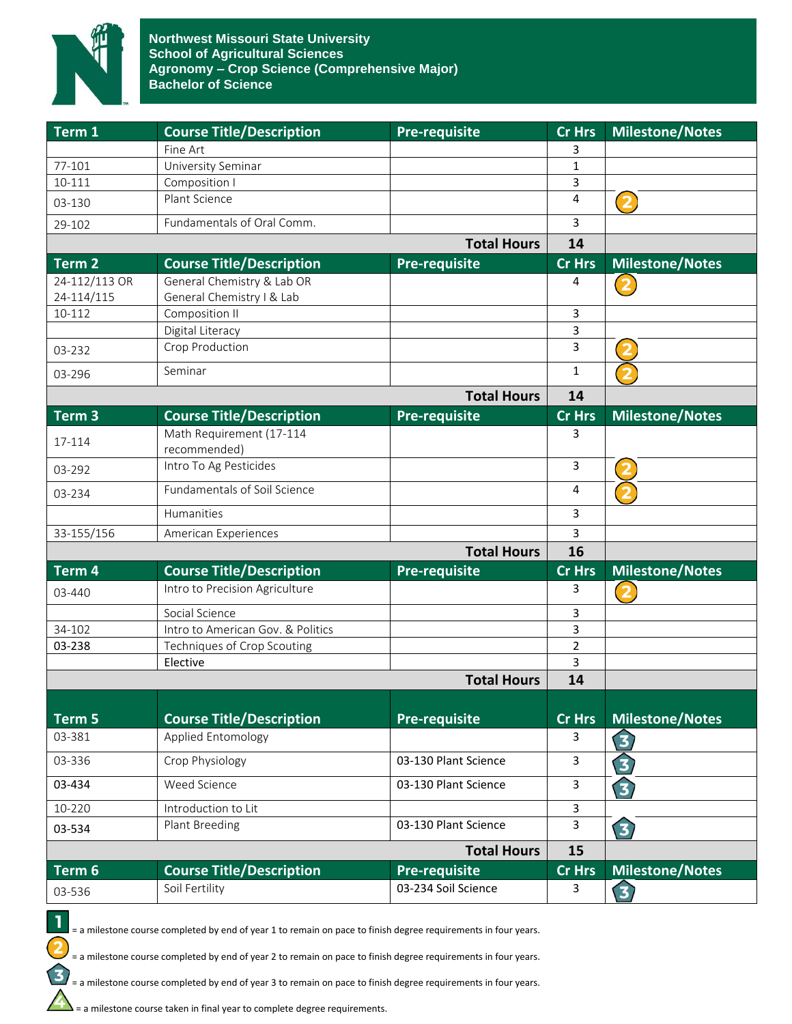

| Term 1             | <b>Course Title/Description</b>          | <b>Pre-requisite</b> | <b>Cr Hrs</b>  | <b>Milestone/Notes</b>  |
|--------------------|------------------------------------------|----------------------|----------------|-------------------------|
|                    | Fine Art                                 |                      | 3              |                         |
| 77-101             | University Seminar                       |                      | $\mathbf{1}$   |                         |
| 10-111             | Composition I                            |                      | 3              |                         |
| 03-130             | Plant Science                            |                      | 4              | (2                      |
| 29-102             | Fundamentals of Oral Comm.               |                      | 3              |                         |
|                    |                                          | <b>Total Hours</b>   | 14             |                         |
| Term <sub>2</sub>  | <b>Course Title/Description</b>          | <b>Pre-requisite</b> | <b>Cr Hrs</b>  | <b>Milestone/Notes</b>  |
| 24-112/113 OR      | General Chemistry & Lab OR               |                      | 4              |                         |
| 24-114/115         | General Chemistry I & Lab                |                      |                |                         |
| 10-112             | Composition II                           |                      | 3              |                         |
|                    | Digital Literacy                         |                      | 3              |                         |
| 03-232             | Crop Production                          |                      | 3              |                         |
| 03-296             | Seminar                                  |                      | 1              |                         |
|                    |                                          | <b>Total Hours</b>   | 14             |                         |
| Term <sub>3</sub>  | <b>Course Title/Description</b>          | <b>Pre-requisite</b> | <b>Cr Hrs</b>  | <b>Milestone/Notes</b>  |
| 17-114             | Math Requirement (17-114<br>recommended) |                      | 3              |                         |
| 03-292             | Intro To Ag Pesticides                   |                      | $\overline{3}$ | $\overline{\mathbf{2}}$ |
| 03-234             | <b>Fundamentals of Soil Science</b>      |                      | 4              |                         |
|                    | Humanities                               |                      | 3              |                         |
| 33-155/156         | American Experiences                     |                      | 3              |                         |
|                    |                                          | <b>Total Hours</b>   | 16             |                         |
| Term 4             | <b>Course Title/Description</b>          | Pre-requisite        | <b>Cr Hrs</b>  | <b>Milestone/Notes</b>  |
| 03-440             | Intro to Precision Agriculture           |                      | 3              | 2                       |
|                    | Social Science                           |                      | 3              |                         |
| 34-102             | Intro to American Gov. & Politics        |                      | 3              |                         |
| 03-238             | Techniques of Crop Scouting              |                      | $\overline{2}$ |                         |
|                    | Elective                                 |                      | 3              |                         |
| <b>Total Hours</b> |                                          |                      | 14             |                         |
|                    |                                          |                      |                |                         |
| Term 5             | <b>Course Title/Description</b>          | <b>Pre-requisite</b> | <b>Cr Hrs</b>  | <b>Milestone/Notes</b>  |
| 03-381             | Applied Entomology                       |                      | 3              | 3                       |
| 03-336             | Crop Physiology                          | 03-130 Plant Science | 3              | $\bigodot$              |
| 03-434             | Weed Science                             | 03-130 Plant Science | 3              | $\bigodot$              |
| 10-220             | Introduction to Lit                      |                      | $\mathbf{3}$   |                         |
| 03-534             | Plant Breeding                           | 03-130 Plant Science | 3              | 3                       |
|                    |                                          | <b>Total Hours</b>   | 15             |                         |
| Term 6             | <b>Course Title/Description</b>          | <b>Pre-requisite</b> | <b>Cr Hrs</b>  | <b>Milestone/Notes</b>  |
| 03-536             | Soil Fertility                           | 03-234 Soil Science  | 3              | 3                       |



= a milestone course completed by end of year 2 to remain on pace to finish degree requirements in four years.

= a milestone course completed by end of year 3 to remain on pace to finish degree requirements in four years.

 $\sum$  = a milestone course taken in final year to complete degree requirements.

1  $\overline{\mathbf{2}}$ 

 $\mathbf{\Omega}$